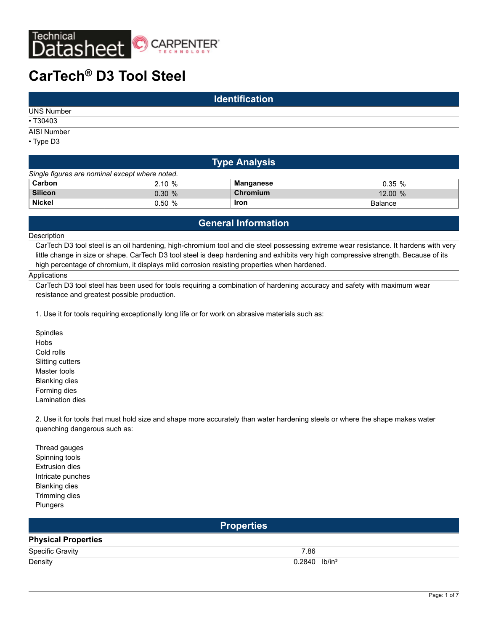

| <b>Identification</b> |  |  |  |  |  |
|-----------------------|--|--|--|--|--|
| <b>UNS Number</b>     |  |  |  |  |  |
| • T30403              |  |  |  |  |  |
| AISI Number           |  |  |  |  |  |
| $\cdot$ Type D3       |  |  |  |  |  |

| <b>Type Analysis</b>                           |           |           |                |  |  |  |  |  |  |
|------------------------------------------------|-----------|-----------|----------------|--|--|--|--|--|--|
| Single figures are nominal except where noted. |           |           |                |  |  |  |  |  |  |
| Carbon                                         | 2.10%     | Manganese | $0.35\%$       |  |  |  |  |  |  |
| <b>Silicon</b>                                 | $0.30 \%$ | Chromium  | $12.00\%$      |  |  |  |  |  |  |
| <b>Nickel</b>                                  | $0.50 \%$ | Iron      | <b>Balance</b> |  |  |  |  |  |  |

### **General Information**

#### Description

CarTech D3 tool steel is an oil hardening, high-chromium tool and die steel possessing extreme wear resistance. It hardens with very little change in size or shape. CarTech D3 tool steel is deep hardening and exhibits very high compressive strength. Because of its high percentage of chromium, it displays mild corrosion resisting properties when hardened.

#### **Applications**

CarTech D3 tool steel has been used for tools requiring a combination of hardening accuracy and safety with maximum wear resistance and greatest possible production.

1. Use it for tools requiring exceptionally long life or for work on abrasive materials such as:

Spindles Hobs Cold rolls Slitting cutters Master tools Blanking dies Forming dies Lamination dies

2. Use it for tools that must hold size and shape more accurately than water hardening steels or where the shape makes water quenching dangerous such as:

Thread gauges Spinning tools Extrusion dies Intricate punches Blanking dies Trimming dies Plungers

| <b>Properties</b>          |                             |  |  |  |  |
|----------------------------|-----------------------------|--|--|--|--|
| <b>Physical Properties</b> |                             |  |  |  |  |
| Specific Gravity           | 7.86                        |  |  |  |  |
| Density                    | $0.2840$ lb/in <sup>3</sup> |  |  |  |  |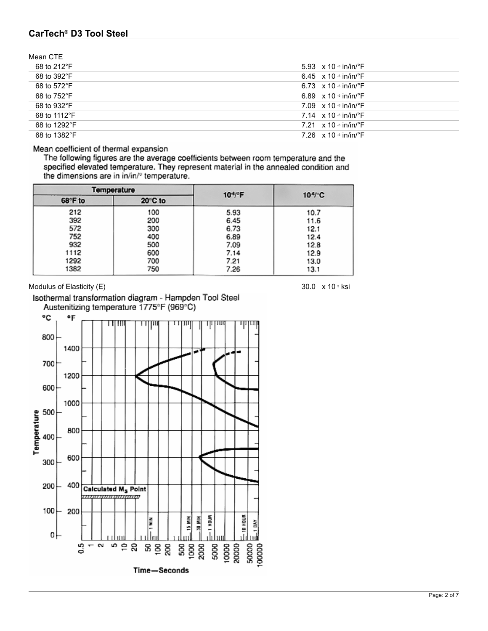| Mean CTE     |                                           |
|--------------|-------------------------------------------|
| 68 to 212°F  | 5.93 $\times$ 10 $\cdot$ in/in/ $\cdot$ F |
| 68 to 392°F  | 6.45 $\times$ 10 $\cdot$ in/in/ $\cdot$ F |
| 68 to 572°F  | 6.73 $\times$ 10 $\cdot$ in/in/ $\cdot$ F |
| 68 to 752°F  | 6.89 $\times$ 10 $\cdot$ in/in/ $\cdot$ F |
| 68 to 932°F  | 7.09 $\times$ 10 $\cdot$ in/in/ $\cdot$ F |
| 68 to 1112°F | 7.14 $\times$ 10 $\cdot$ in/in/ $\cdot$ F |
| 68 to 1292°F | 7.21 $\times$ 10 $\cdot$ in/in/ $\cdot$ F |
| 68 to 1382°F | 7.26 $\times$ 10 $\cdot$ in/in/ $\cdot$ F |

#### Mean coefficient of thermal expansion

The following figures are the average coefficients between room temperature and the specified elevated temperature. They represent material in the annealed condition and the dimensions are in in/in/° temperature.

| Temperature |         | $104$ <sup>e</sup> F | $10^{4}$ C |
|-------------|---------|----------------------|------------|
| 68°F to     | 20°C to |                      |            |
| 212         | 100     | 5.93                 | 10.7       |
| 392         | 200     | 6.45                 | 11.6       |
| 572         | 300     | 6.73                 | 12.1       |
| 752         | 400     | 6.89                 | 12.4       |
| 932         | 500     | 7.09                 | 12.8       |
| 1112        | 600     | 7.14                 | 12.9       |
| 1292        | 700     | 7.21                 | 13.0       |
| 1382        | 750     | 7.26                 | 13.1       |

Modulus of Elasticity  $(E)$  30.0 x 10 <sup>3</sup> ksi





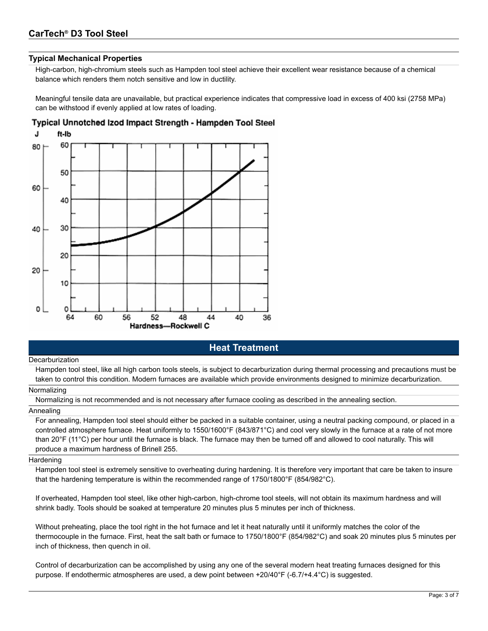#### **Typical Mechanical Properties**

High-carbon, high-chromium steels such as Hampden tool steel achieve their excellent wear resistance because of a chemical balance which renders them notch sensitive and low in ductility.

Meaningful tensile data are unavailable, but practical experience indicates that compressive load in excess of 400 ksi (2758 MPa) can be withstood if evenly applied at low rates of loading.

#### Typical Unnotched Izod Impact Strength - Hampden Tool Steel



### **Heat Treatment**

#### **Decarburization**

Hampden tool steel, like all high carbon tools steels, is subject to decarburization during thermal processing and precautions must be taken to control this condition. Modern furnaces are available which provide environments designed to minimize decarburization.

#### Normalizing

Normalizing is not recommended and is not necessary after furnace cooling as described in the annealing section.

#### Annealing

For annealing, Hampden tool steel should either be packed in a suitable container, using a neutral packing compound, or placed in a controlled atmosphere furnace. Heat uniformly to 1550/1600°F (843/871°C) and cool very slowly in the furnace at a rate of not more than 20°F (11°C) per hour until the furnace is black. The furnace may then be turned off and allowed to cool naturally. This will produce a maximum hardness of Brinell 255.

#### **Hardening**

Hampden tool steel is extremely sensitive to overheating during hardening. It is therefore very important that care be taken to insure that the hardening temperature is within the recommended range of 1750/1800°F (854/982°C).

If overheated, Hampden tool steel, like other high-carbon, high-chrome tool steels, will not obtain its maximum hardness and will shrink badly. Tools should be soaked at temperature 20 minutes plus 5 minutes per inch of thickness.

Without preheating, place the tool right in the hot furnace and let it heat naturally until it uniformly matches the color of the thermocouple in the furnace. First, heat the salt bath or furnace to 1750/1800°F (854/982°C) and soak 20 minutes plus 5 minutes per inch of thickness, then quench in oil.

Control of decarburization can be accomplished by using any one of the several modern heat treating furnaces designed for this purpose. If endothermic atmospheres are used, a dew point between +20/40°F (-6.7/+4.4°C) is suggested.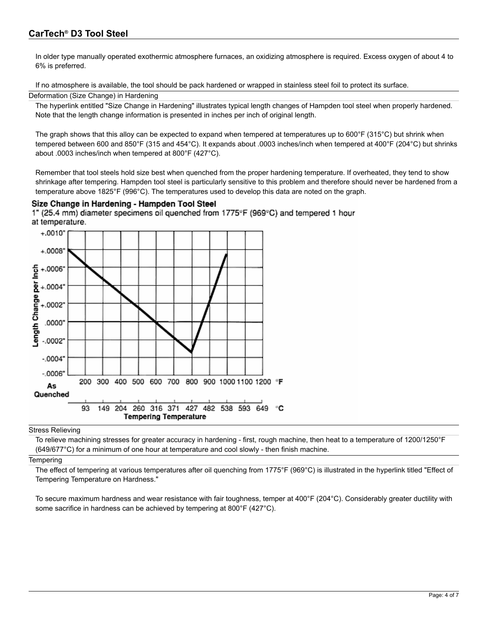In older type manually operated exothermic atmosphere furnaces, an oxidizing atmosphere is required. Excess oxygen of about 4 to 6% is preferred.

If no atmosphere is available, the tool should be pack hardened or wrapped in stainless steel foil to protect its surface.

#### Deformation (Size Change) in Hardening

The hyperlink entitled "Size Change in Hardening" illustrates typical length changes of Hampden tool steel when properly hardened. Note that the length change information is presented in inches per inch of original length.

The graph shows that this alloy can be expected to expand when tempered at temperatures up to  $600^{\circ}$ F (315 $^{\circ}$ C) but shrink when tempered between 600 and 850°F (315 and 454°C). It expands about .0003 inches/inch when tempered at 400°F (204°C) but shrinks about .0003 inches/inch when tempered at 800°F (427°C).

Remember that tool steels hold size best when quenched from the proper hardening temperature. If overheated, they tend to show shrinkage after tempering. Hampden tool steel is particularly sensitive to this problem and therefore should never be hardened from a temperature above 1825°F (996°C). The temperatures used to develop this data are noted on the graph.

#### Size Change in Hardening - Hampden Tool Steel

1" (25.4 mm) diameter specimens oil quenched from 1775°F (969°C) and tempered 1 hour at temperature.



Stress Relieving

To relieve machining stresses for greater accuracy in hardening - first, rough machine, then heat to a temperature of 1200/1250°F (649/677°C) for a minimum of one hour at temperature and cool slowly - then finish machine.

#### **Tempering**

The effect of tempering at various temperatures after oil quenching from 1775°F (969°C) is illustrated in the hyperlink titled "Effect of Tempering Temperature on Hardness."

To secure maximum hardness and wear resistance with fair toughness, temper at 400°F (204°C). Considerably greater ductility with some sacrifice in hardness can be achieved by tempering at 800°F (427°C).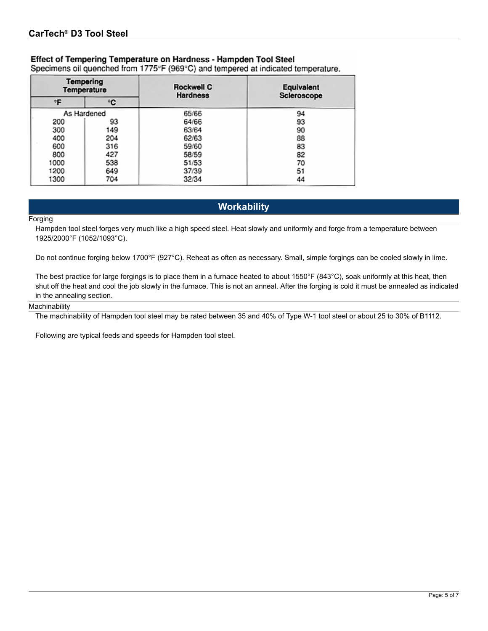### Effect of Tempering Temperature on Hardness - Hampden Tool Steel

Specimens oil quenched from 1775°F (969°C) and tempered at indicated temperature.

|      | <b>Tempering</b><br>Temperature | Rockwell C<br><b>Hardness</b> | Equivalent<br>Scieroscope |
|------|---------------------------------|-------------------------------|---------------------------|
| ۰F   | ٠c                              |                               |                           |
|      | As Hardened                     | 65/66                         | 94                        |
| 200  | 93                              | 64/66                         | 93                        |
| 300  | 149                             | 63/64                         | 90                        |
| 400  | 204                             | 62/63                         | 88                        |
| 600  | 316                             | 59/60                         | 83                        |
| 800  | 427                             | 58/59                         | 82                        |
| 1000 | 538                             | 51/53                         | 70                        |
| 1200 | 649                             | 37/39                         | 51                        |
| 1300 | 704                             | 32/34                         | 44                        |

### **Workability**

#### Forging

Hampden tool steel forges very much like a high speed steel. Heat slowly and uniformly and forge from a temperature between 1925/2000°F (1052/1093°C).

Do not continue forging below 1700°F (927°C). Reheat as often as necessary. Small, simple forgings can be cooled slowly in lime.

The best practice for large forgings is to place them in a furnace heated to about 1550°F (843°C), soak uniformly at this heat, then shut off the heat and cool the job slowly in the furnace. This is not an anneal. After the forging is cold it must be annealed as indicated in the annealing section.

#### **Machinability**

The machinability of Hampden tool steel may be rated between 35 and 40% of Type W-1 tool steel or about 25 to 30% of B1112.

Following are typical feeds and speeds for Hampden tool steel.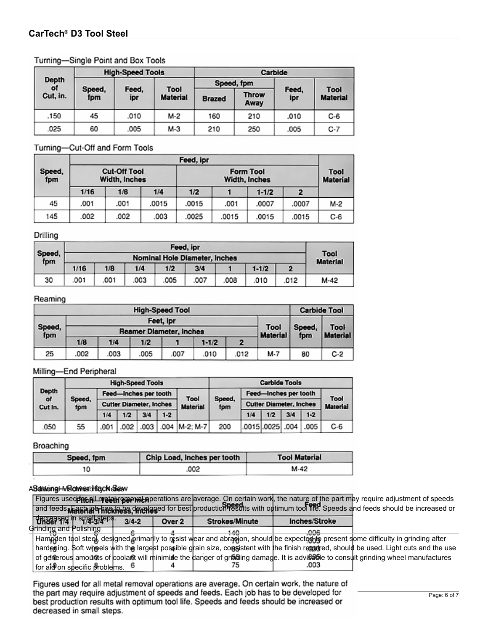#### Turning-Single Point and Box Tools

|                | <b>High-Speed Tools</b> |              |                         |               | Carbide              |              |                         |  |  |
|----------------|-------------------------|--------------|-------------------------|---------------|----------------------|--------------|-------------------------|--|--|
| Depth          |                         |              |                         |               | Speed, fpm           |              |                         |  |  |
| оf<br>Cut, in. | Speed,<br>fpm           | Feed,<br>ipr | Tool<br><b>Material</b> | <b>Brazed</b> | <b>Throw</b><br>Away | Feed,<br>ipr | Tool<br><b>Material</b> |  |  |
| .150           | 45                      | .010         | M-2                     | 160           | 210                  | .010         | $C-6$                   |  |  |
| 025            | 60                      | .005         | M-3                     | 210           | 250                  | .005         | $C-7$                   |  |  |

#### Turning-Cut-Off and Form Tools

| Feed, ipr                                             |      |      |                         |       |       |           |       |       |
|-------------------------------------------------------|------|------|-------------------------|-------|-------|-----------|-------|-------|
| <b>Cut-Off Tool</b><br>Speed,<br>Width, Inches<br>fpm |      |      | Tool<br><b>Material</b> |       |       |           |       |       |
|                                                       | 1/16 | 1/B  | 1/4                     | 1/2   |       | $1 - 1/2$ | 2     |       |
| 45                                                    | .001 | .001 | .0015                   | .0015 | .001  | .0007     | .0007 | M-2   |
| 145                                                   | .002 | .002 | 003                     | .0025 | .0015 | .0015     | .0015 | $C-6$ |

#### Drilling

|               | Feed, ipr                            |     |     |     |      |      |           |                         |                 |  |
|---------------|--------------------------------------|-----|-----|-----|------|------|-----------|-------------------------|-----------------|--|
| Speed,<br>fpm | <b>Nominal Hole Diameter, Inches</b> |     |     |     |      |      |           |                         |                 |  |
|               | 1/16                                 | 1/8 | 1/4 | 1/2 | 3/4  |      | $1 - 1/2$ | $\overline{\mathbf{2}}$ | <b>Material</b> |  |
| 30            | .001                                 | 001 | 003 | 005 | .007 | .008 | .010      | .012                    | M-42            |  |

#### Reaming

| <b>High-Speed Tool</b>                   |      |      |           |      |           |      | <b>Carbide Tool</b>     |               |                         |
|------------------------------------------|------|------|-----------|------|-----------|------|-------------------------|---------------|-------------------------|
|                                          |      |      | Feet, ipr |      |           |      |                         |               |                         |
| Speed,<br>Reamer Diameter, Inches<br>fpm |      |      |           |      |           |      | Tool<br><b>Material</b> | Speed,<br>fpm | Tool<br><b>Material</b> |
|                                          | 1/B  | 1/4  | 1/2       |      | $1 - 1/2$ | 2    |                         |               |                         |
| 25                                       | .002 | .003 | .005      | .007 | .010      | .012 | M-7                     | 80            | $C-2$                   |

#### Milling-End Peripheral

|                                                |    | <b>High-Speed Tools</b> |                                |      |       |                         |                       | <b>Carbide Tools</b> |                  |     |               |       |                                |  |  |                 |
|------------------------------------------------|----|-------------------------|--------------------------------|------|-------|-------------------------|-----------------------|----------------------|------------------|-----|---------------|-------|--------------------------------|--|--|-----------------|
| <b>Depth</b><br>of<br>Speed,<br>Cut In.<br>fpm |    | Feed-Inches per tooth   |                                |      |       |                         | Feed-Inches per tooth |                      |                  |     | Tool          |       |                                |  |  |                 |
|                                                |    |                         | <b>Cutter Diameter, Inches</b> |      |       | Tool<br><b>Material</b> |                       |                      |                  |     | Speed.<br>fpm |       | <b>Cutter Diameter, Inches</b> |  |  | <b>Material</b> |
|                                                |    | 1/4                     | 1/2                            | 3/4  | $1-2$ |                         |                       | 1/4                  | 1/2              | 3/4 | $1 - 2$       |       |                                |  |  |                 |
| 050                                            | 55 | .001                    | .002                           | .003 |       | $.004$ $ M-2; M-7 $     | 200                   |                      | .0015 .0025 .004 |     | .005          | $C-6$ |                                |  |  |                 |

#### Broaching

| Speed, fpm | Chip Load, Inches per tooth | <b>Tool Material</b> |
|------------|-----------------------------|----------------------|
|            | .002                        | M-42                 |

#### Additional Machinarbility CN diesy

|                           |           |        |                |               | Figures used <b>pneelLmetelHegepvel p</b> perations are average. On certain work, the nature of the part may require adjustment of speeds |
|---------------------------|-----------|--------|----------------|---------------|-------------------------------------------------------------------------------------------------------------------------------------------|
|                           |           |        |                |               | and feeds <b>Material + has the is developed</b> for best production PESdits with optimum tool he Speeds and feeds should be increased or |
| decreased in small steps. | $3/4 - 2$ | Over 2 | Strokes/Minute | Inches/Stroke |                                                                                                                                           |
| Grinding and Polishing    |           |        |                | nne           |                                                                                                                                           |

Hampden tool steel, designed primarily to resist wear and abrasion, should be expected to present some difficulty in grinding after hardening. Soft wheels with the largest possible grain size, consistent with the finish required, should be used. Light cuts and the use of generous amounts of coolant will minimize the danger of grinding damage. It is advisable to consult grinding wheel manufactures<br>for all on specific scalings to the data of the danger of grinding damage. It is advisable for ald on specific problems.  $6$ 4 .003

Figures used for all metal removal operations are average. On certain work, the nature of the part may require adjustment of speeds and feeds. Each job has to be developed for best production results with optimum tool life. Speeds and feeds should be increased or decreased in small steps.